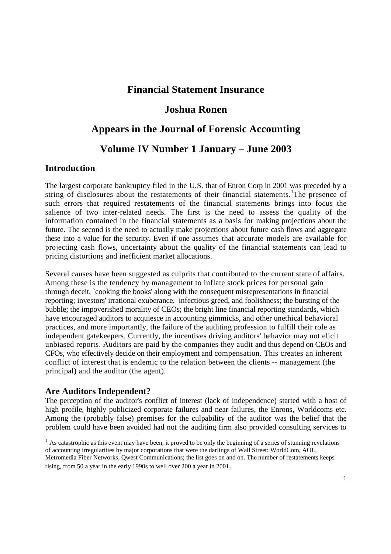# **Financial Statement Insurance**

# **Joshua Ronen**

# **Appears in the Journal of Forensic Accounting**

## **Volume IV Number 1 January – June 2003**

#### **Introduction**

The largest corporate bankruptcy filed in the U.S. that of Enron Corp in 2001 was preceded by a string of disclosures about the restatements of their financial statements. The presence of such errors that required restatements of the financial statements brings into focus the salience of two inter-related needs. The first is the need to assess the quality of the information contained in the financial statements as a basis for making projections about the future. The second is the need to actually make projections about future cash flows and aggregate these into a value for the security. Even if one assumes that accurate models are available for projecting cash flows, uncertainty about the quality of the financial statements can lead to pricing distortions and inefficient market allocations.

Several causes have been suggested as culprits that contributed to the current state of affairs. Among these is the tendency by management to inflate stock prices for personal gain through deceit, `cooking the books' along with the consequent misrepresentations in financial reporting; investors' irrational exuberance, infectious greed, and foolishness; the bursting of the bubble; the impoverished morality of CEOs; the bright line financial reporting standards, which have encouraged auditors to acquiesce in accounting gimmicks, and other unethical behavioral practices, and more importantly, the failure of the auditing profession to fulfill their role as independent gatekeepers. Currently, the incentives driving auditors' behavior may not elicit unbiased reports. Auditors are paid by the companies they audit and thus depend on CEOs and CFOs, who effectively decide on their employment and compensation. This creates an inherent conflict of interest that is endemic to the relation between the clients -- management (the principal) and the auditor (the agent).

#### **Are Auditors Independent?**

The perception of the auditor's conflict of interest (lack of independence) started with a host of high profile, highly publicized corporate failures and near failures, the Enrons, Worldcoms etc. Among the (probably false) premises for the culpability of the auditor was the belief that the problem could have been avoided had not the auditing firm also provided consulting services to

 $1$  As catastrophic as this event may have been, it proved to be only the beginning of a series of stunning revelations of accounting irregularities by major corporations that were the darlings of Wall Street: WorldCom, AOL, Metromedia Fiber Networks, Qwest Communications; the list goes on and on. The number of restatements keeps rising, from 50 a year in the early 1990s to well over 200 a year in 2001.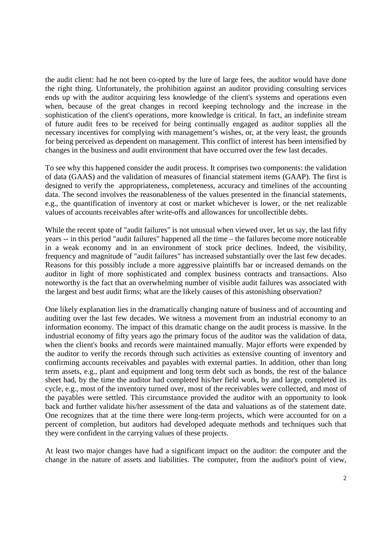the audit client: had he not been co-opted by the lure of large fees, the auditor would have done the right thing. Unfortunately, the prohibition against an auditor providing consulting services ends up with the auditor acquiring less knowledge of the client's systems and operations even when, because of the great changes in record keeping technology and the increase in the sophistication of the client's operations, more knowledge is critical. In fact, an indefinite stream of future audit fees to be received for being continually engaged as auditor supplies all the necessary incentives for complying with management's wishes, or, at the very least, the grounds for being perceived as dependent on management. This conflict of interest has been intensified by changes in the business and audit environment that have occurred over the few last decades.

To see why this happened consider the audit process. It comprises two components: the validation of data (GAAS) and the validation of measures of financial statement items (GAAP). The first is designed to verify the appropriateness, completeness, accuracy and timelines of the accounting data. The second involves the reasonableness of the values presented in the financial statements, e.g., the quantification of inventory at cost or market whichever is lower, or the net realizable values of accounts receivables after write-offs and allowances for uncollectible debts.

While the recent spate of "audit failures" is not unusual when viewed over, let us say, the last fifty years -- in this period "audit failures" happened all the time – the failures become more noticeable in a weak economy and in an environment of stock price declines. Indeed, the visibility, frequency and magnitude of "audit failures" has increased substantially over the last few decades. Reasons for this possibly include a more aggressive plaintiffs bar or increased demands on the auditor in light of more sophisticated and complex business contracts and transactions. Also noteworthy is the fact that an overwhelming number of visible audit failures was associated with the largest and best audit firms; what are the likely causes of this astonishing observation?

One likely explanation lies in the dramatically changing nature of business and of accounting and auditing over the last few decades. We witness a movement from an industrial economy to an information economy. The impact of this dramatic change on the audit process is massive. In the industrial economy of fifty years ago the primary focus of the auditor was the validation of data, when the client's books and records were maintained manually. Major efforts were expended by the auditor to verify the records through such activities as extensive counting of inventory and confirming accounts receivables and payables with external parties. In addition, other than long term assets, e.g., plant and equipment and long term debt such as bonds, the rest of the balance sheet had, by the time the auditor had completed his/her field work, by and large, completed its cycle, e.g., most of the inventory turned over, most of the receivables were collected, and most of the payables were settled. This circumstance provided the auditor with an opportunity to look back and further validate his/her assessment of the data and valuations as of the statement date. One recognizes that at the time there were long-term projects, which were accounted for on a percent of completion, but auditors had developed adequate methods and techniques such that they were confident in the carrying values of these projects.

At least two major changes have had a significant impact on the auditor: the computer and the change in the nature of assets and liabilities. The computer, from the auditor's point of view,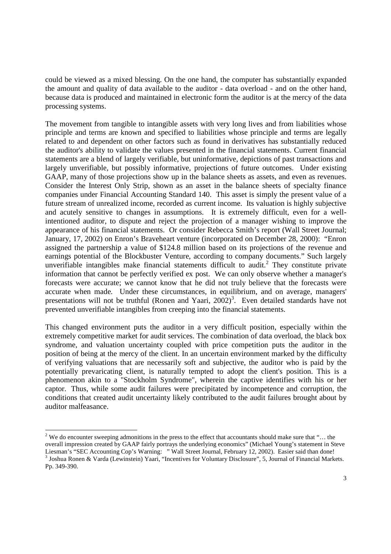could be viewed as a mixed blessing. On the one hand, the computer has substantially expanded the amount and quality of data available to the auditor - data overload - and on the other hand, because data is produced and maintained in electronic form the auditor is at the mercy of the data processing systems.

The movement from tangible to intangible assets with very long lives and from liabilities whose principle and terms are known and specified to liabilities whose principle and terms are legally related to and dependent on other factors such as found in derivatives has substantially reduced the auditor's ability to validate the values presented in the financial statements. Current financial statements are a blend of largely verifiable, but uninformative, depictions of past transactions and largely unverifiable, but possibly informative, projections of future outcomes. Under existing GAAP, many of those projections show up in the balance sheets as assets, and even as revenues. Consider the Interest Only Strip, shown as an asset in the balance sheets of specialty finance companies under Financial Accounting Standard 140. This asset is simply the present value of a future stream of unrealized income, recorded as current income. Its valuation is highly subjective and acutely sensitive to changes in assumptions. It is extremely difficult, even for a wellintentioned auditor, to dispute and reject the projection of a manager wishing to improve the appearance of his financial statements. Or consider Rebecca Smith's report (Wall Street Journal; January, 17, 2002) on Enron's Braveheart venture (incorporated on December 28, 2000): "Enron assigned the partnership a value of \$124.8 million based on its projections of the revenue and earnings potential of the Blockbuster Venture, according to company documents." Such largely unverifiable intangibles make financial statements difficult to audit.<sup>2</sup> They constitute private information that cannot be perfectly verified ex post. We can only observe whether a manager's forecasts were accurate; we cannot know that he did not truly believe that the forecasts were accurate when made. Under these circumstances, in equilibrium, and on average, managers' presentations will not be truthful (Ronen and Yaari,  $2002$ )<sup>3</sup>. Even detailed standards have not prevented unverifiable intangibles from creeping into the financial statements.

This changed environment puts the auditor in a very difficult position, especially within the extremely competitive market for audit services. The combination of data overload, the black box syndrome, and valuation uncertainty coupled with price competition puts the auditor in the position of being at the mercy of the client. In an uncertain environment marked by the difficulty of verifying valuations that are necessarily soft and subjective, the auditor who is paid by the potentially prevaricating client, is naturally tempted to adopt the client's position. This is a phenomenon akin to a "Stockholm Syndrome", wherein the captive identifies with his or her captor. Thus, while some audit failures were precipitated by incompetence and corruption, the conditions that created audit uncertainty likely contributed to the audit failures brought about by auditor malfeasance.

<sup>&</sup>lt;sup>2</sup> We do encounter sweeping admonitions in the press to the effect that accountants should make sure that "... the overall impression created by GAAP fairly portrays the underlying economics" (Michael Young's statement in Steve Liesman's "SEC Accounting Cop's Warning: " Wall Street Journal, February 12, 2002). Easier said than done!

<sup>&</sup>lt;sup>3</sup> Joshua Ronen & Varda (Lewinstein) Yaari, "Incentives for Voluntary Disclosure", 5, Journal of Financial Markets. Pp. 349-390.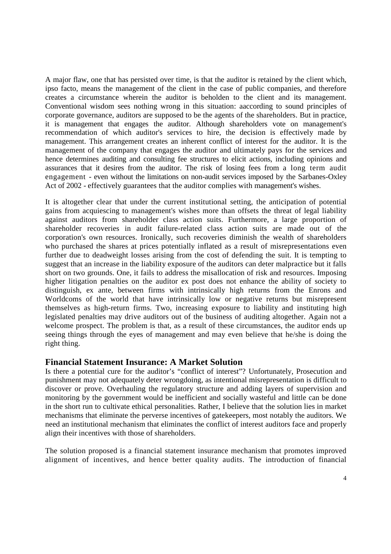A major flaw, one that has persisted over time, is that the auditor is retained by the client which, ipso facto, means the management of the client in the case of public companies, and therefore creates a circumstance wherein the auditor is beholden to the client and its management. Conventional wisdom sees nothing wrong in this situation: aaccording to sound principles of corporate governance, auditors are supposed to be the agents of the shareholders. But in practice, it is management that engages the auditor. Although shareholders vote on management's recommendation of which auditor's services to hire, the decision is effectively made by management. This arrangement creates an inherent conflict of interest for the auditor. It is the management of the company that engages the auditor and ultimately pays for the services and hence determines auditing and consulting fee structures to elicit actions, including opinions and assurances that it desires from the auditor. The risk of losing fees from a long term audit engagement - even without the limitations on non-audit services imposed by the Sarbanes-Oxley Act of 2002 - effectively guarantees that the auditor complies with management's wishes.

It is altogether clear that under the current institutional setting, the anticipation of potential gains from acquiescing to management's wishes more than offsets the threat of legal liability against auditors from shareholder class action suits. Furthermore, a large proportion of shareholder recoveries in audit failure-related class action suits are made out of the corporation's own resources. Ironically, such recoveries diminish the wealth of shareholders who purchased the shares at prices potentially inflated as a result of misrepresentations even further due to deadweight losses arising from the cost of defending the suit. It is tempting to suggest that an increase in the liability exposure of the auditors can deter malpractice but it falls short on two grounds. One, it fails to address the misallocation of risk and resources. Imposing higher litigation penalties on the auditor ex post does not enhance the ability of society to distinguish, ex ante, between firms with intrinsically high returns from the Enrons and Worldcoms of the world that have intrinsically low or negative returns but misrepresent themselves as high-return firms. Two, increasing exposure to liability and instituting high legislated penalties may drive auditors out of the business of auditing altogether. Again not a welcome prospect. The problem is that, as a result of these circumstances, the auditor ends up seeing things through the eyes of management and may even believe that he/she is doing the right thing.

### **Financial Statement Insurance: A Market Solution**

Is there a potential cure for the auditor's "conflict of interest"? Unfortunately, Prosecution and punishment may not adequately deter wrongdoing, as intentional misrepresentation is difficult to discover or prove. Overhauling the regulatory structure and adding layers of supervision and monitoring by the government would be inefficient and socially wasteful and little can be done in the short run to cultivate ethical personalities. Rather, I believe that the solution lies in market mechanisms that eliminate the perverse incentives of gatekeepers, most notably the auditors. We need an institutional mechanism that eliminates the conflict of interest auditors face and properly align their incentives with those of shareholders.

The solution proposed is a financial statement insurance mechanism that promotes improved alignment of incentives, and hence better quality audits. The introduction of financial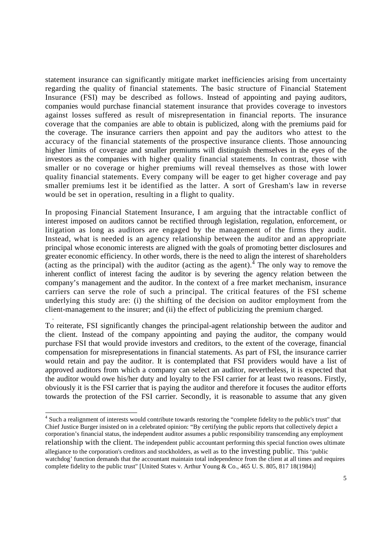statement insurance can significantly mitigate market inefficiencies arising from uncertainty regarding the quality of financial statements. The basic structure of Financial Statement Insurance (FSI) may be described as follows. Instead of appointing and paying auditors, companies would purchase financial statement insurance that provides coverage to investors against losses suffered as result of misrepresentation in financial reports. The insurance coverage that the companies are able to obtain is publicized, along with the premiums paid for the coverage. The insurance carriers then appoint and pay the auditors who attest to the accuracy of the financial statements of the prospective insurance clients. Those announcing higher limits of coverage and smaller premiums will distinguish themselves in the eyes of the investors as the companies with higher quality financial statements. In contrast, those with smaller or no coverage or higher premiums will reveal themselves as those with lower quality financial statements. Every company will be eager to get higher coverage and pay smaller premiums lest it be identified as the latter. A sort of Gresham's law in reverse would be set in operation, resulting in a flight to quality.

In proposing Financial Statement Insurance, I am arguing that the intractable conflict of interest imposed on auditors cannot be rectified through legislation, regulation, enforcement, or litigation as long as auditors are engaged by the management of the firms they audit. Instead, what is needed is an agency relationship between the auditor and an appropriate principal whose economic interests are aligned with the goals of promoting better disclosures and greater economic efficiency. In other words, there is the need to align the interest of shareholders (acting as the principal) with the auditor (acting as the agent).<sup>4</sup> The only way to remove the inherent conflict of interest facing the auditor is by severing the agency relation between the company's management and the auditor. In the context of a free market mechanism, insurance carriers can serve the role of such a principal. The critical features of the FSI scheme underlying this study are: (i) the shifting of the decision on auditor employment from the client-management to the insurer; and (ii) the effect of publicizing the premium charged.

To reiterate, FSI significantly changes the principal-agent relationship between the auditor and the client. Instead of the company appointing and paying the auditor, the company would purchase FSI that would provide investors and creditors, to the extent of the coverage, financial compensation for misrepresentations in financial statements. As part of FSI, the insurance carrier would retain and pay the auditor. It is contemplated that FSI providers would have a list of approved auditors from which a company can select an auditor, nevertheless, it is expected that the auditor would owe his/her duty and loyalty to the FSI carrier for at least two reasons. Firstly, obviously it is the FSI carrier that is paying the auditor and therefore it focuses the auditor efforts towards the protection of the FSI carrier. Secondly, it is reasonable to assume that any given

.

<sup>&</sup>lt;sup>4</sup> Such a realignment of interests would contribute towards restoring the "complete fidelity to the public's trust" that Chief Justice Burger insisted on in a celebrated opinion: "By certifying the public reports that collectively depict a corporation's financial status, the independent auditor assumes a public responsibility transcending any employment relationship with the client. The independent public accountant performing this special function owes ultimate allegiance to the corporation's creditors and stockholders, as well as to the investing public. This 'public watchdog' function demands that the accountant maintain total independence from the client at all times and requires complete fidelity to the public trust" [United States v. Arthur Young & Co., 465 U. S. 805, 817 18(1984)]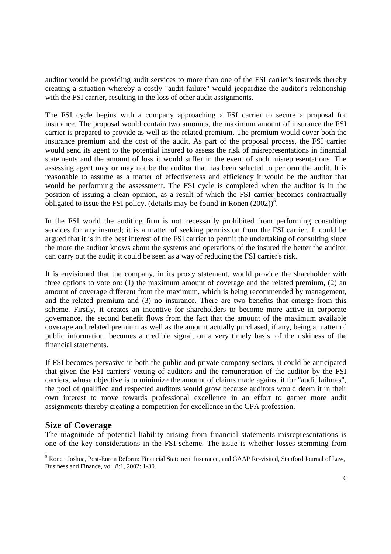auditor would be providing audit services to more than one of the FSI carrier's insureds thereby creating a situation whereby a costly "audit failure" would jeopardize the auditor's relationship with the FSI carrier, resulting in the loss of other audit assignments.

The FSI cycle begins with a company approaching a FSI carrier to secure a proposal for insurance. The proposal would contain two amounts, the maximum amount of insurance the FSI carrier is prepared to provide as well as the related premium. The premium would cover both the insurance premium and the cost of the audit. As part of the proposal process, the FSI carrier would send its agent to the potential insured to assess the risk of misrepresentations in financial statements and the amount of loss it would suffer in the event of such misrepresentations. The assessing agent may or may not be the auditor that has been selected to perform the audit. It is reasonable to assume as a matter of effectiveness and efficiency it would be the auditor that would be performing the assessment. The FSI cycle is completed when the auditor is in the position of issuing a clean opinion, as a result of which the FSI carrier becomes contractually obligated to issue the FSI policy. (details may be found in Ronen  $(2002)^5$ .

In the FSI world the auditing firm is not necessarily prohibited from performing consulting services for any insured; it is a matter of seeking permission from the FSI carrier. It could be argued that it is in the best interest of the FSI carrier to permit the undertaking of consulting since the more the auditor knows about the systems and operations of the insured the better the auditor can carry out the audit; it could be seen as a way of reducing the FSI carrier's risk.

It is envisioned that the company, in its proxy statement, would provide the shareholder with three options to vote on: (1) the maximum amount of coverage and the related premium, (2) an amount of coverage different from the maximum, which is being recommended by management, and the related premium and (3) no insurance. There are two benefits that emerge from this scheme. Firstly, it creates an incentive for shareholders to become more active in corporate governance. the second benefit flows from the fact that the amount of the maximum available coverage and related premium as well as the amount actually purchased, if any, being a matter of public information, becomes a credible signal, on a very timely basis, of the riskiness of the financial statements.

If FSI becomes pervasive in both the public and private company sectors, it could be anticipated that given the FSI carriers' vetting of auditors and the remuneration of the auditor by the FSI carriers, whose objective is to minimize the amount of claims made against it for "audit failures", the pool of qualified and respected auditors would grow because auditors would deem it in their own interest to move towards professional excellence in an effort to garner more audit assignments thereby creating a competition for excellence in the CPA profession.

### **Size of Coverage**

The magnitude of potential liability arising from financial statements misrepresentations is one of the key considerations in the FSI scheme. The issue is whether losses stemming from

<sup>5</sup> Ronen Joshua, Post-Enron Reform: Financial Statement Insurance, and GAAP Re-visited, Stanford Journal of Law, Business and Finance, vol. 8:1, 2002: 1-30.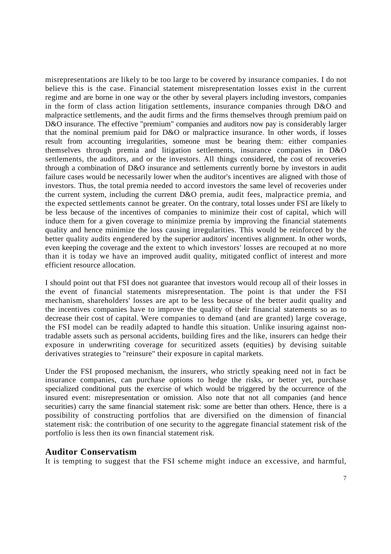misrepresentations are likely to be too large to be covered by insurance companies. I do not believe this is the case. Financial statement misrepresentation losses exist in the current regime and are borne in one way or the other by several players including investors, companies in the form of class action litigation settlements, insurance companies through D&O and malpractice settlements, and the audit firms and the firms themselves through premium paid on D&O insurance. The effective "premium" companies and auditors now pay is considerably larger that the nominal premium paid for D&O or malpractice insurance. In other words, if losses result from accounting irregularities, someone must be bearing them: either companies themselves through premia and litigation settlements, insurance companies in D&O settlements, the auditors, and or the investors. All things considered, the cost of recoveries through a combination of D&O insurance and settlements currently borne by investors in audit failure cases would be necessarily lower when the auditor's incentives are aligned with those of investors. Thus, the total premia needed to accord investors the same level of recoveries under the current system, including the current D&O premia, audit fees, malpractice premia, and the expected settlements cannot be greater. On the contrary, total losses under FSI are likely to be less because of the incentives of companies to minimize their cost of capital, which will induce them for a given coverage to minimize premia by improving the financial statements quality and hence minimize the loss causing irregularities. This would be reinforced by the better quality audits engendered by the superior auditors' incentives alignment. In other words, even keeping the coverage and the extent to which investors' losses are recouped at no more than it is today we have an improved audit quality, mitigated conflict of interest and more efficient resource allocation.

I should point out that FSI does not guarantee that investors would recoup all of their losses in the event of financial statements misrepresentation. The point is that under the FSI mechanism, shareholders' losses are apt to be less because of the better audit quality and the incentives companies have to improve the quality of their financial statements so as to decrease their cost of capital. Were companies to demand (and are granted) large coverage, the FSI model can be readily adapted to handle this situation. Unlike insuring against nontradable assets such as personal accidents, building fires and the like, insurers can hedge their exposure in underwriting coverage for securitized assets (equities) by devising suitable derivatives strategies to "reinsure" their exposure in capital markets.

Under the FSI proposed mechanism, the insurers, who strictly speaking need not in fact be insurance companies, can purchase options to hedge the risks, or better yet, purchase specialized conditional puts the exercise of which would be triggered by the occurrence of the insured event: misrepresentation or omission. Also note that not all companies (and hence securities) carry the same financial statement risk: some are better than others. Hence, there is a possibility of constructing portfolios that are diversified on the dimension of financial statement risk: the contribution of one security to the aggregate financial statement risk of the portfolio is less then its own financial statement risk.

#### **Auditor Conservatism**

It is tempting to suggest that the FSI scheme might induce an excessive, and harmful,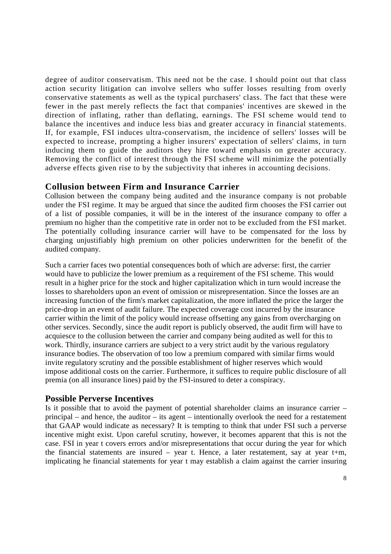degree of auditor conservatism. This need not be the case. I should point out that class action security litigation can involve sellers who suffer losses resulting from overly conservative statements as well as the typical purchasers' class. The fact that these were fewer in the past merely reflects the fact that companies' incentives are skewed in the direction of inflating, rather than deflating, earnings. The FSI scheme would tend to balance the incentives and induce less bias and greater accuracy in financial statements. If, for example, FSI induces ultra-conservatism, the incidence of sellers' losses will be expected to increase, prompting a higher insurers' expectation of sellers' claims, in turn inducing them to guide the auditors they hire toward emphasis on greater accuracy. Removing the conflict of interest through the FSI scheme will minimize the potentially adverse effects given rise to by the subjectivity that inheres in accounting decisions.

### **Collusion between Firm and Insurance Carrier**

Collusion between the company being audited and the insurance company is not probable under the FSI regime. It may be argued that since the audited firm chooses the FSI carrier out of a list of possible companies, it will be in the interest of the insurance company to offer a premium no higher than the competitive rate in order not to be excluded from the FSI market. The potentially colluding insurance carrier will have to be compensated for the loss by charging unjustifiably high premium on other policies underwritten for the benefit of the audited company.

Such a carrier faces two potential consequences both of which are adverse: first, the carrier would have to publicize the lower premium as a requirement of the FSI scheme. This would result in a higher price for the stock and higher capitalization which in turn would increase the losses to shareholders upon an event of omission or misrepresentation. Since the losses are an increasing function of the firm's market capitalization, the more inflated the price the larger the price-drop in an event of audit failure. The expected coverage cost incurred by the insurance carrier within the limit of the policy would increase offsetting any gains from overcharging on other services. Secondly, since the audit report is publicly observed, the audit firm will have to acquiesce to the collusion between the carrier and company being audited as well for this to work. Thirdly, insurance carriers are subject to a very strict audit by the various regulatory insurance bodies. The observation of too low a premium compared with similar firms would invite regulatory scrutiny and the possible establishment of higher reserves which would impose additional costs on the carrier. Furthermore, it suffices to require public disclosure of all premia (on all insurance lines) paid by the FSI-insured to deter a conspiracy.

#### **Possible Perverse Incentives**

Is it possible that to avoid the payment of potential shareholder claims an insurance carrier – principal – and hence, the auditor – its agent – intentionally overlook the need for a restatement that GAAP would indicate as necessary? It is tempting to think that under FSI such a perverse incentive might exist. Upon careful scrutiny, however, it becomes apparent that this is not the case. FSI in year t covers errors and/or misrepresentations that occur during the year for which the financial statements are insured – year t. Hence, a later restatement, say at year t+m, implicating he financial statements for year t may establish a claim against the carrier insuring